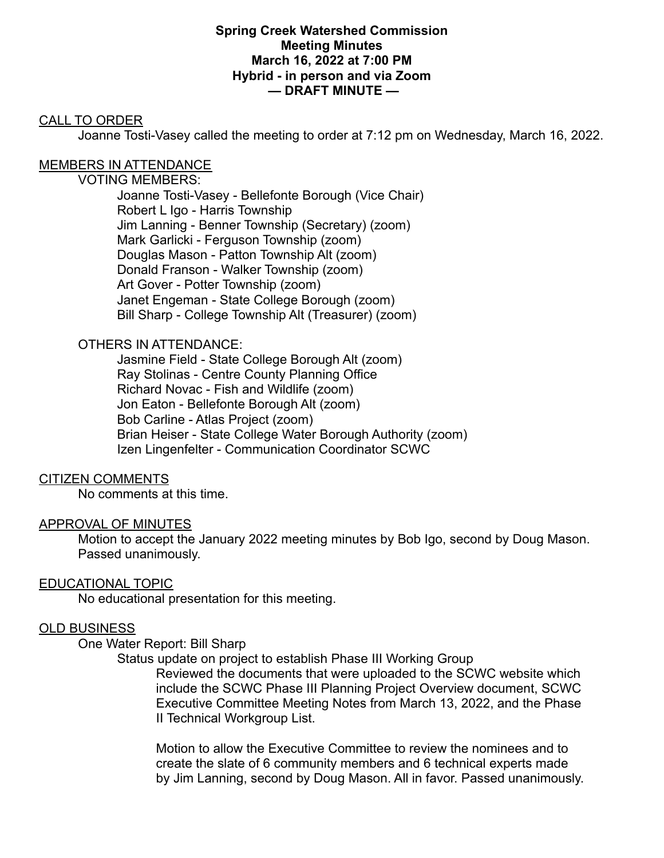#### **Spring Creek Watershed Commission Meeting Minutes March 16, 2022 at 7:00 PM Hybrid - in person and via Zoom — DRAFT MINUTE —**

## CALL TO ORDER

Joanne Tosti-Vasey called the meeting to order at 7:12 pm on Wednesday, March 16, 2022.

## MEMBERS IN ATTENDANCE

#### VOTING MEMBERS:

Joanne Tosti-Vasey - Bellefonte Borough (Vice Chair) Robert L Igo - Harris Township Jim Lanning - Benner Township (Secretary) (zoom) Mark Garlicki - Ferguson Township (zoom) Douglas Mason - Patton Township Alt (zoom) Donald Franson - Walker Township (zoom) Art Gover - Potter Township (zoom) Janet Engeman - State College Borough (zoom) Bill Sharp - College Township Alt (Treasurer) (zoom)

### OTHERS IN ATTENDANCE:

Jasmine Field - State College Borough Alt (zoom) Ray Stolinas - Centre County Planning Office Richard Novac - Fish and Wildlife (zoom) Jon Eaton - Bellefonte Borough Alt (zoom) Bob Carline - Atlas Project (zoom) Brian Heiser - State College Water Borough Authority (zoom) Izen Lingenfelter - Communication Coordinator SCWC

### CITIZEN COMMENTS

No comments at this time.

### APPROVAL OF MINUTES

Motion to accept the January 2022 meeting minutes by Bob Igo, second by Doug Mason. Passed unanimously.

### EDUCATIONAL TOPIC

No educational presentation for this meeting.

# OLD BUSINESS

### One Water Report: Bill Sharp

Status update on project to establish Phase III Working Group Reviewed the documents that were uploaded to the SCWC website which include the SCWC Phase III Planning Project Overview document, SCWC Executive Committee Meeting Notes from March 13, 2022, and the Phase II Technical Workgroup List.

Motion to allow the Executive Committee to review the nominees and to create the slate of 6 community members and 6 technical experts made by Jim Lanning, second by Doug Mason. All in favor. Passed unanimously.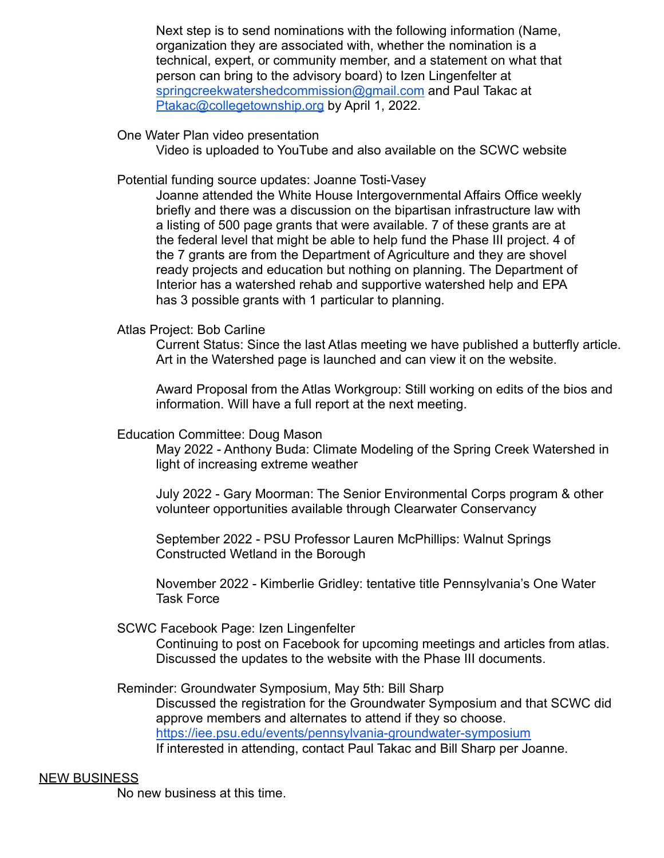Next step is to send nominations with the following information (Name, organization they are associated with, whether the nomination is a technical, expert, or community member, and a statement on what that person can bring to the advisory board) to Izen Lingenfelter at [springcreekwatershedcommission@gmail.com](mailto:springcreekwatershedcommission@gmail.com) and Paul Takac at [Ptakac@collegetownship.org](mailto:Ptakac@collegetownship.org) by April 1, 2022.

One Water Plan video presentation

Video is uploaded to YouTube and also available on the SCWC website

Potential funding source updates: Joanne Tosti-Vasey

Joanne attended the White House Intergovernmental Affairs Office weekly briefly and there was a discussion on the bipartisan infrastructure law with a listing of 500 page grants that were available. 7 of these grants are at the federal level that might be able to help fund the Phase III project. 4 of the 7 grants are from the Department of Agriculture and they are shovel ready projects and education but nothing on planning. The Department of Interior has a watershed rehab and supportive watershed help and EPA has 3 possible grants with 1 particular to planning.

Atlas Project: Bob Carline

Current Status: Since the last Atlas meeting we have published a butterfly article. Art in the Watershed page is launched and can view it on the website.

Award Proposal from the Atlas Workgroup: Still working on edits of the bios and information. Will have a full report at the next meeting.

Education Committee: Doug Mason

May 2022 - Anthony Buda: Climate Modeling of the Spring Creek Watershed in light of increasing extreme weather

July 2022 - Gary Moorman: The Senior Environmental Corps program & other volunteer opportunities available through Clearwater Conservancy

September 2022 - PSU Professor Lauren McPhillips: Walnut Springs Constructed Wetland in the Borough

November 2022 - Kimberlie Gridley: tentative title Pennsylvania's One Water Task Force

SCWC Facebook Page: Izen Lingenfelter

Continuing to post on Facebook for upcoming meetings and articles from atlas. Discussed the updates to the website with the Phase III documents.

Reminder: Groundwater Symposium, May 5th: Bill Sharp Discussed the registration for the Groundwater Symposium and that SCWC did approve members and alternates to attend if they so choose. <https://iee.psu.edu/events/pennsylvania-groundwater-symposium> If interested in attending, contact Paul Takac and Bill Sharp per Joanne.

#### NEW BUSINESS

No new business at this time.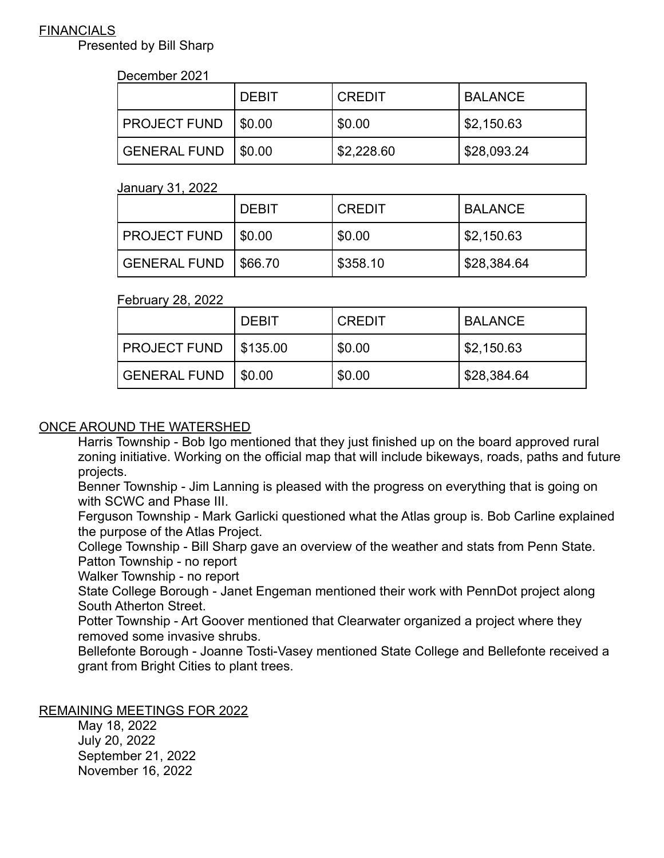## **FINANCIALS**

Presented by Bill Sharp

### December 2021

|                       | <b>DEBIT</b> | <b>CREDIT</b> | <b>BALANCE</b> |
|-----------------------|--------------|---------------|----------------|
| PROJECT FUND   \$0.00 |              | \$0.00        | \$2,150.63     |
| GENERAL FUND   \$0.00 |              | \$2,228.60    | \$28,093.24    |

#### January 31, 2022

|                     | <b>DEBIT</b> | <b>CREDIT</b> | I BALANCE                |
|---------------------|--------------|---------------|--------------------------|
| <b>PROJECT FUND</b> | $1$ \$0.00   | \$0.00        | $\frac{1}{2}$ \$2,150.63 |
| <b>GENERAL FUND</b> | \$66.70      | \$358.10      | \$28,384.64              |

### February 28, 2022

|                         | <b>DEBIT</b> | <b>CREDIT</b> | <b>BALANCE</b>        |
|-------------------------|--------------|---------------|-----------------------|
| PROJECT FUND   \$135.00 |              | \$0.00        | $\frac{1}{2}$ ,150.63 |
| GENERAL FUND   \$0.00   |              | \$0.00        | \$28,384.64           |

# ONCE AROUND THE WATERSHED

Harris Township - Bob Igo mentioned that they just finished up on the board approved rural zoning initiative. Working on the official map that will include bikeways, roads, paths and future projects.

Benner Township - Jim Lanning is pleased with the progress on everything that is going on with SCWC and Phase III.

Ferguson Township - Mark Garlicki questioned what the Atlas group is. Bob Carline explained the purpose of the Atlas Project.

College Township - Bill Sharp gave an overview of the weather and stats from Penn State. Patton Township - no report

Walker Township - no report

State College Borough - Janet Engeman mentioned their work with PennDot project along South Atherton Street.

Potter Township - Art Goover mentioned that Clearwater organized a project where they removed some invasive shrubs.

Bellefonte Borough - Joanne Tosti-Vasey mentioned State College and Bellefonte received a grant from Bright Cities to plant trees.

## REMAINING MEETINGS FOR 2022

May 18, 2022 July 20, 2022 September 21, 2022 November 16, 2022